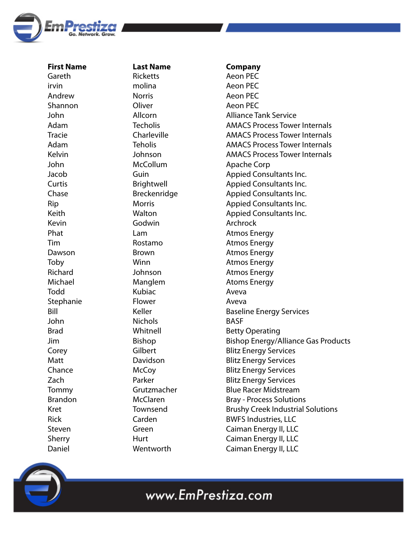

**First Name Last Name Company** Gareth irvin Andrew Shannon John Adam Tracie Adam Kelvin John Jacob Curtis Chase Rip Keith Kevin Phat Tim Dawson Toby Richard Michael Todd Stephanie Bill John Brad Jim Corey Matt Chance Zach Tommy Brandon Kret Rick Steven Sherry Daniel Ricketts molina Norris **Oliver** Allcorn **Techolis** Charleville Teholis Johnson McCollum Guin Brightwell Breckenridge Morris Walton Godwin Lam Rostamo Brown Winn Johnson **Manglem** Kubiac Flower Keller Nichols Whitnell Bishop Gilbert Davidson **McCoy** Parker Grutzmacher McClaren Townsend Carden Green **Hurt Wentworth** Aeon PEC Aeon PEC Aeon PEC Aeon PEC Alliance Tank Service AMACS Process Tower Internals AMACS Process Tower Internals AMACS Process Tower Internals AMACS Process Tower Internals Apache Corp Appied Consultants Inc. Appied Consultants Inc. Appied Consultants Inc. Appied Consultants Inc. Appied Consultants Inc. Archrock Atmos Energy Atmos Energy Atmos Energy Atmos Energy Atmos Energy Atoms Energy Aveva Aveva Baseline Energy Services BASF Betty Operating Bishop Energy/Alliance Gas Products Blitz Energy Services Blitz Energy Services Blitz Energy Services Blitz Energy Services Blue Racer Midstream Bray - Process Solutions Brushy Creek Industrial Solutions BWFS Industries, LLC Caiman Energy II, LLC Caiman Energy II, LLC Caiman Energy II, LLC

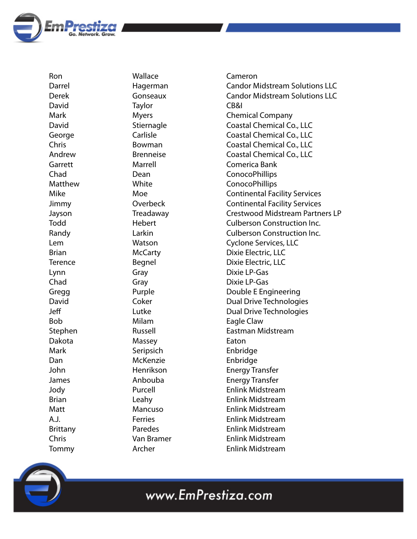

Ron Darrel Derek David Mark David George Chris Andrew Garrett Chad Matthew Mike Jimmy Jayson Todd Randy Lem Brian **Terence** Lynn Chad **Gregg** David Je Bob Stephen Dakota Mark Dan John James Jody Brian Matt A.J. Brittany Chris Tommy

Wallace Hagerman Gonseaux **Taylor** Myers Stiernagle Carlisle Bowman Brenneise Marrell Dean White Moe **Overbeck** Treadaway Hebert Larkin Watson **McCarty** Begnel Gray Gray Purple Coker Lutke Milam Russell Massey **Seripsich** McKenzie Henrikson Anbouba Purcell Leahy Mancuso Ferries Paredes Van Bramer Archer

Cameron Candor Midstream Solutions LLC Candor Midstream Solutions LLC CB&I Chemical Company Coastal Chemical Co., LLC Coastal Chemical Co., LLC Coastal Chemical Co., LLC Coastal Chemical Co., LLC Comerica Bank ConocoPhillips ConocoPhillips Continental Facility Services Continental Facility Services Crestwood Midstream Partners LP Culberson Construction Inc. Culberson Construction Inc. Cyclone Services, LLC Dixie Electric, LLC Dixie Electric, LLC Dixie LP-Gas Dixie LP-Gas Double E Engineering Dual Drive Technologies Dual Drive Technologies Eagle Claw Eastman Midstream Eaton Enbridge Enbridge Energy Transfer Energy Transfer Enlink Midstream Enlink Midstream Enlink Midstream Enlink Midstream Enlink Midstream Enlink Midstream Enlink Midstream

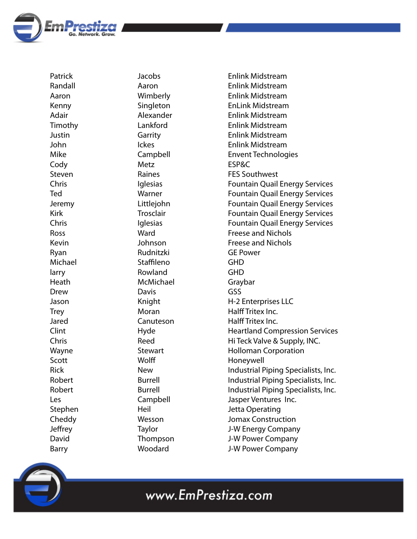

Patrick Randall Aaron Kenny Adair Timothy Justin John Mike **Cody** Steven Chris Ted Jeremy Kirk Chris Ross Kevin Ryan Michael larry Heath Drew Jason **Trey** Jared Clint Chris Wayne Scott Rick Robert Robert Les Stephen Cheddy Jeffrey David Barry

Jacobs Aaron Wimberly Singleton Alexander Lankford Garrity Ickes Campbell Metz Raines **Iglesias** Warner Littlejohn **Trosclair** Iglesias Ward Johnson Rudnitzki Staffileno Rowland McMichael Davis Knight Moran Canuteson Hyde Reed **Stewart** Wolff New Burrell Burrell Campbell Heil Wesson Taylor Thompson Woodard

Enlink Midstream Enlink Midstream Enlink Midstream EnLink Midstream Enlink Midstream Enlink Midstream Enlink Midstream Enlink Midstream Envent Technologies ESP&C FES Southwest Fountain Quail Energy Services Fountain Quail Energy Services Fountain Quail Energy Services Fountain Quail Energy Services Fountain Quail Energy Services Freese and Nichols Freese and Nichols GE Power GHD GHD Graybar GSS H-2 Enterprises LLC Halff Tritex Inc. Halff Tritex Inc. Heartland Compression Services Hi Teck Valve & Supply, INC. Holloman Corporation Honeywell Industrial Piping Specialists, Inc. Industrial Piping Specialists, Inc. Industrial Piping Specialists, Inc. Jasper Ventures Inc. Jetta Operating Jomax Construction J-W Energy Company J-W Power Company J-W Power Company

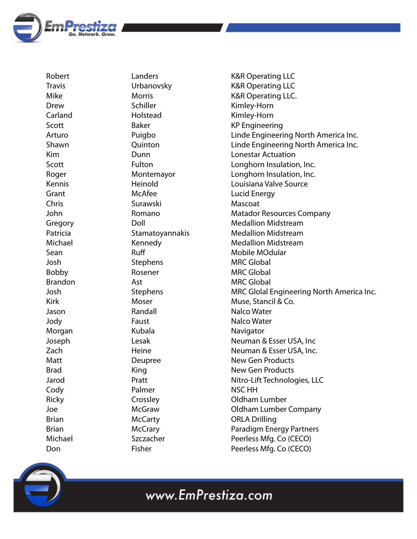

Robert Travis Mike Drew Carland Scott Arturo Shawn Kim Scott Roger Kennis Grant Chris John Gregory Patricia Michael Sean Josh Bobby Brandon Josh Kirk Jason Jody Morgan Joseph Zach **Matt** Brad Jarod **Cody** Ricky Joe Brian Brian Michael Don

Landers Urbanovsky Morris Schiller Holstead Baker Puigbo **Ouinton** Dunn Fulton Montemayor Heinold McAfee Surawski Romano Doll Stamatoyannakis Kennedy **Ruff** Stephens Rosener Ast Stephens Moser Randall Faust Kubala Lesak Heine Deupree King Pratt Palmer Crossley McGraw **McCarty McCrary** Szczacher

Fisher

K&R Operating LLC K&R Operating LLC K&R Operating LLC. Kimley-Horn Kimley-Horn KP Engineering Linde Engineering North America Inc. Linde Engineering North America Inc. Lonestar Actuation Longhorn Insulation, Inc. Longhorn Insulation, Inc. Louisiana Valve Source Lucid Energy Mascoat Matador Resources Company Medallion Midstream Medallion Midstream Medallion Midstream Mobile MOdular MRC Global MRC Global MRC Global MRC Glolal Engineering North America Inc. Muse, Stancil & Co. Nalco Water Nalco Water Navigator Neuman & Esser USA, Inc Neuman & Esser USA, Inc. New Gen Products New Gen Products Nitro-Lift Technologies, LLC NSC HH Oldham Lumber Oldham Lumber Company ORLA Drilling Paradigm Energy Partners Peerless Mfg. Co (CECO) Peerless Mfg. Co (CECO)

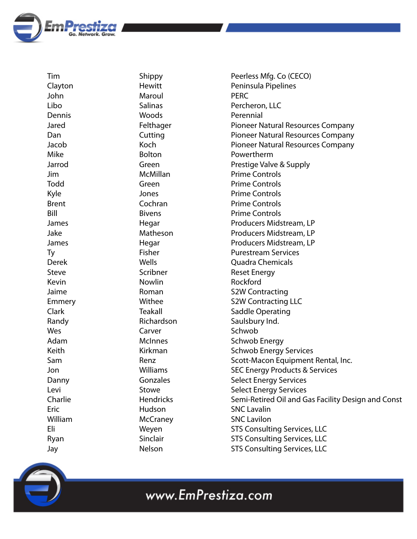

Tim Clayton John Libo Dennis Jared Dan Jacob Mike Jarrod Jim Todd Kyle Brent Bill James Jake James Ty Derek Steve Kevin Jaime Emmery Clark Randy Wes Adam Keith Sam Jon Danny Levi Charlie Eric William Eli Ryan Jay

Shippy **Hewitt** Maroul Salinas Woods Felthager **Cutting** Koch Bolton Green McMillan Green Jones Cochran Bivens Hegar Matheson Hegar Fisher Wells Scribner Nowlin Roman **Withee** Teakall Richardson Carver **McInnes** Kirkman Renz Williams Gonzales Stowe **Hendricks** Hudson **McCraney** Weyen Sinclair Nelson

Peerless Mfg. Co (CECO) Peninsula Pipelines PERC Percheron, LLC Perennial Pioneer Natural Resources Company Pioneer Natural Resources Company Pioneer Natural Resources Company Powertherm Prestige Valve & Supply Prime Controls Prime Controls Prime Controls Prime Controls Prime Controls Producers Midstream, LP Producers Midstream, LP Producers Midstream, LP Purestream Services Quadra Chemicals Reset Energy Rockford S2W Contracting S2W Contracting LLC Saddle Operating Saulsbury Ind. Schwob Schwob Energy Schwob Energy Services Scott-Macon Equipment Rental, Inc. SEC Energy Products & Services Select Energy Services Select Energy Services Semi-Retired Oil and Gas Facility Design and Const SNC Lavalin SNC Lavilon STS Consulting Services, LLC STS Consulting Services, LLC STS Consulting Services, LLC

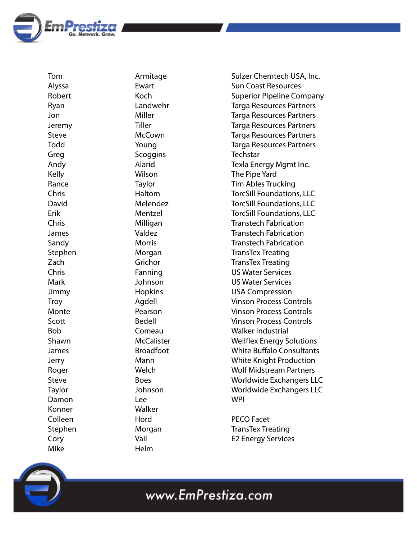

Tom Alyssa Robert Ryan Jon Jeremy Steve Todd Greg Andy Kelly Rance Chris David Erik Chris James Sandy Stephen Zach Chris Mark Jimmy **Troy** Monte Scott Bob Shawn James Jerry Roger Steve Taylor Damon Konner Colleen Stephen Cory Mike

Armitage Ewart Koch Landwehr Miller Tiller **McCown** Young **Scoggins** Alarid Wilson **Taylor** Haltom Melendez Mentzel Milligan Valdez Morris Morgan Grichor Fanning Johnson Hopkins Agdell Pearson Bedell Comeau **McCalister** Broadfoot Mann **Welch** Boes Johnson Lee Walker Hord Morgan Vail Helm

Sulzer Chemtech USA, Inc. Sun Coast Resources Superior Pipeline Company Targa Resources Partners Targa Resources Partners Targa Resources Partners Targa Resources Partners Targa Resources Partners **Techstar** Texla Energy Mgmt Inc. The Pipe Yard Tim Ables Trucking TorcSill Foundations, LLC TorcSill Foundations, LLC TorcSill Foundations, LLC Transtech Fabrication Transtech Fabrication Transtech Fabrication TransTex Treating TransTex Treating US Water Services US Water Services USA Compression Vinson Process Controls Vinson Process Controls Vinson Process Controls Walker Industrial Wellflex Energy Solutions White Buffalo Consultants White Knight Production Wolf Midstream Partners Worldwide Exchangers LLC Worldwide Exchangers LLC **WPI** 

PECO Facet TransTex Treating E2 Energy Services